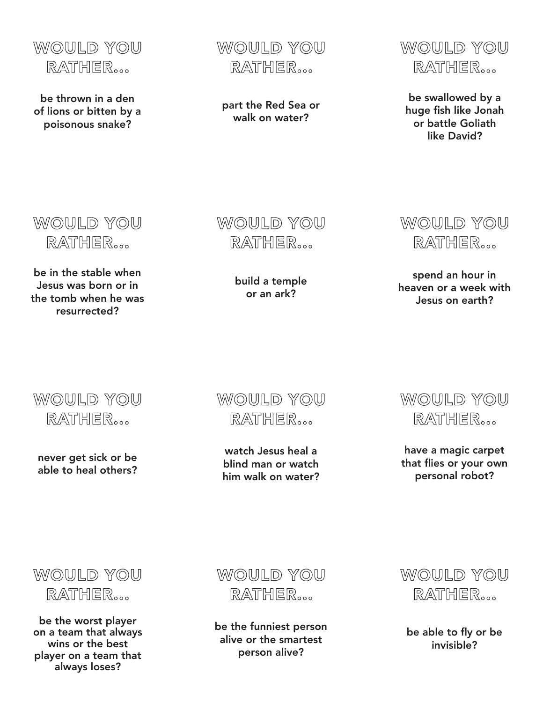

be thrown in a den of lions or bitten by a poisonous snake?

WOULD YOU RATHER...

part the Red Sea or walk on water?



be swallowed by a huge fish like Jonah or battle Goliath like David?

WOULD YOU RATHER...

be in the stable when Jesus was born or in the tomb when he was resurrected?

WOULD YOU RATHER...

build a temple or an ark?

WOULD YOU RATHER...

spend an hour in heaven or a week with Jesus on earth?

WOULD YOU RATHER...

never get sick or be able to heal others?



watch Jesus heal a blind man or watch him walk on water?



have a magic carpet that flies or your own personal robot?



be the worst player on a team that always wins or the best player on a team that always loses?



be the funniest person alive or the smartest person alive?



be able to fly or be invisible?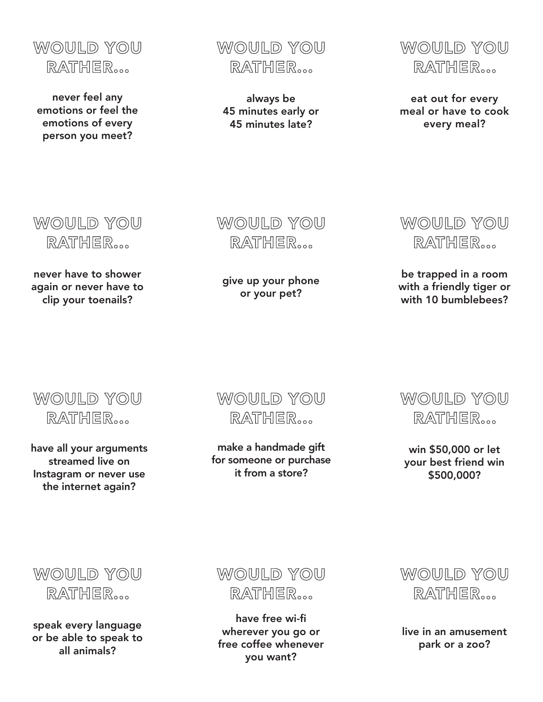

never feel any emotions or feel the emotions of every person you meet?

WOULD YOU RATHER...

always be 45 minutes early or 45 minutes late?



eat out for every meal or have to cook every meal?



never have to shower again or never have to clip your toenails?

WOULD YOU RATHER...

give up your phone or your pet?



be trapped in a room with a friendly tiger or with 10 bumblebees?



have all your arguments streamed live on Instagram or never use the internet again?

WOULD YOU RATHER...

make a handmade gift for someone or purchase it from a store?



win \$50,000 or let your best friend win \$500,000?



speak every language or be able to speak to all animals?



have free wi-fi wherever you go or free coffee whenever you want?



live in an amusement park or a zoo?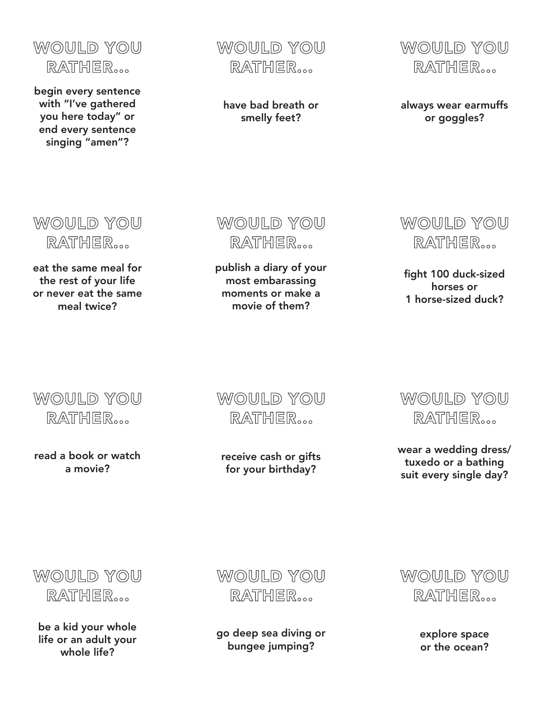

begin every sentence with "I've gathered you here today" or end every sentence singing "amen"?

WOULD YOU RATHER...

have bad breath or smelly feet?



always wear earmuffs or goggles?

WOULD YOU RATHER...

eat the same meal for the rest of your life or never eat the same meal twice?

WOULD YOU RATHER...

publish a diary of your most embarassing moments or make a movie of them?



fight 100 duck-sized horses or 1 horse-sized duck?



read a book or watch a movie?

WOULD YOU RATHER...

receive cash or gifts for your birthday?



wear a wedding dress/ tuxedo or a bathing suit every single day?

WOULD YOU RATHER...

be a kid your whole life or an adult your whole life?

WOULD YOU RATHER...

go deep sea diving or bungee jumping?



explore space or the ocean?